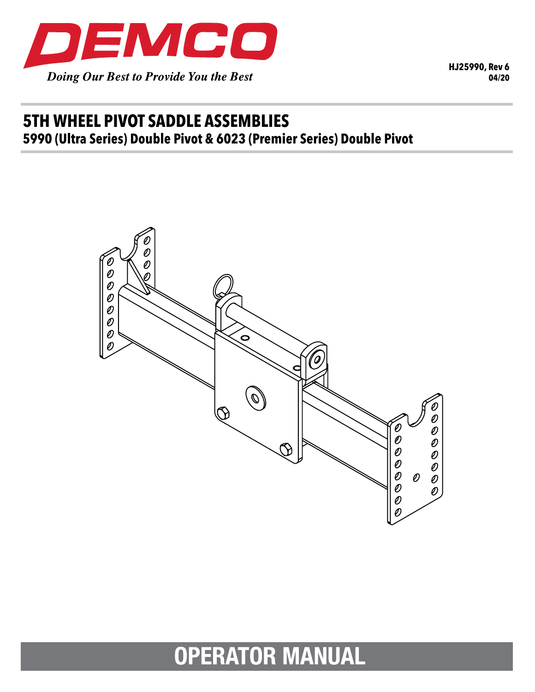

**HJ25990, Rev 6 04/20**

# **5TH WHEEL PIVOT SADDLE ASSEMBLIES 5990 (Ultra Series) Double Pivot & 6023 (Premier Series) Double Pivot**



 $\overline{A}$  ,  $\overline{A}$  ,  $\overline{B}$  ,  $\overline{B}$  ,  $\overline{B}$  ,  $\overline{B}$  ,  $\overline{B}$  ,  $\overline{B}$  ,  $\overline{B}$  ,  $\overline{B}$  ,  $\overline{B}$  ,  $\overline{B}$  ,  $\overline{B}$  ,  $\overline{B}$  ,  $\overline{B}$  ,  $\overline{B}$  ,  $\overline{B}$  ,  $\overline{B}$  ,  $\overline{B}$  ,  $\overline{B}$  , **ATUR MANUAL ATURAL** 

1871&/2&.1<,16(57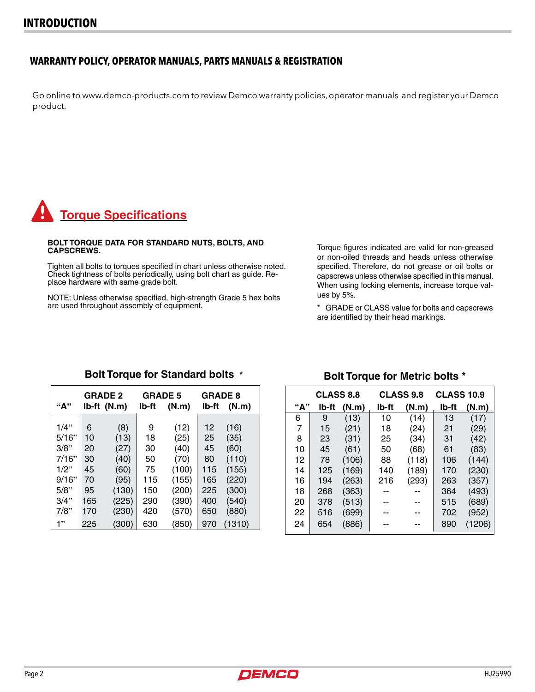### **WARRANTY POLICY, OPERATOR MANUALS, PARTS MANUALS & REGISTRATION**

Go online to www.demco-products.com to review Demco warranty policies, operator manuals and register your Demco product.

# **Torque Specifications**

#### **BOLT TORQUE DATA FOR STANDARD NUTS, BOLTS, AND CAPSCREWS.**

Tighten all bolts to torques specified in chart unless otherwise noted. Check tightness of bolts periodically, using bolt chart as guide. Re- place hardware with same grade bolt.

NOTE: Unless otherwise specified, high-strength Grade 5 hex bolts are used throughout assembly of equipment.

Torque figures indicated are valid for non-greased or non-oiled threads and heads unless otherwise specified. Therefore, do not grease or oil bolts or capscrews unless otherwise specified in this manual. When using locking elements, increase torque values by 5%.

\* GRADE or CLASS value for bolts and capscrews are identified by their head markings.

| "А"     |     | <b>GRADE 2</b><br>lb-ft (N.m) | <b>GRADE 5</b><br>lb-ft | (N.m) | <b>GRADE 8</b><br>(N.m)<br>lb-ft |        |
|---------|-----|-------------------------------|-------------------------|-------|----------------------------------|--------|
|         |     |                               |                         |       |                                  |        |
| $1/4$ " | 6   | (8)                           | 9                       | (12)  | 12                               | (16)   |
| 5/16"   | 10  | (13)                          | 18                      | (25)  | 25                               | (35)   |
| 3/8"    | 20  | (27)                          | 30                      | (40)  | 45                               | (60)   |
| 7/16"   | 30  | (40)                          | 50                      | (70)  | 80                               | (110)  |
| $1/2$ " | 45  | (60)                          | 75                      | (100) | 115                              | (155)  |
| 9/16"   | 70  | (95)                          | 115                     | (155) | 165                              | (220)  |
| 5/8"    | 95  | (130)                         | 150                     | (200) | 225                              | (300)  |
| 3/4"    | 165 | (225)                         | 290                     | (390) | 400                              | (540)  |
| 7/8"    | 170 | (230)                         | 420                     | (570) | 650                              | (880)  |
| 1"      | 225 | (300)                         | 630                     | (850) | 970                              | (1310) |

### **Bolt Torque for Standard bolts \***

## **Bolt Torque for Metric bolts \***

|     | <b>CLASS 8.8</b> |       |       | <b>CLASS 9.8</b> | <b>CLASS 10.9</b> |        |  |
|-----|------------------|-------|-------|------------------|-------------------|--------|--|
| "А" | lb-ft            | (N.m) | lb-ft | (N.m)            | lb-ft             | (N.m)  |  |
| 6   | 9                | (13)  | 10    | (14)             | 13                | (17)   |  |
| 7   | 15               | (21)  | 18    | (24)             | 21                | (29)   |  |
| 8   | 23               | (31)  | 25    | (34)             | 31                | (42)   |  |
| 10  | 45               | (61)  | 50    | (68)             | 61                | (83)   |  |
| 12  | 78               | (106) | 88    | (118)            | 106               | (144)  |  |
| 14  | 125              | (169) | 140   | (189)            | 170               | (230)  |  |
| 16  | 194              | (263) | 216   | (293)            | 263               | (357)  |  |
| 18  | 268              | (363) |       |                  | 364               | (493)  |  |
| 20  | 378              | (513) |       |                  | 515               | (689)  |  |
| 22  | 516              | (699) |       |                  | 702               | (952)  |  |
| 24  | 654              | (886) |       |                  | 890               | (1206) |  |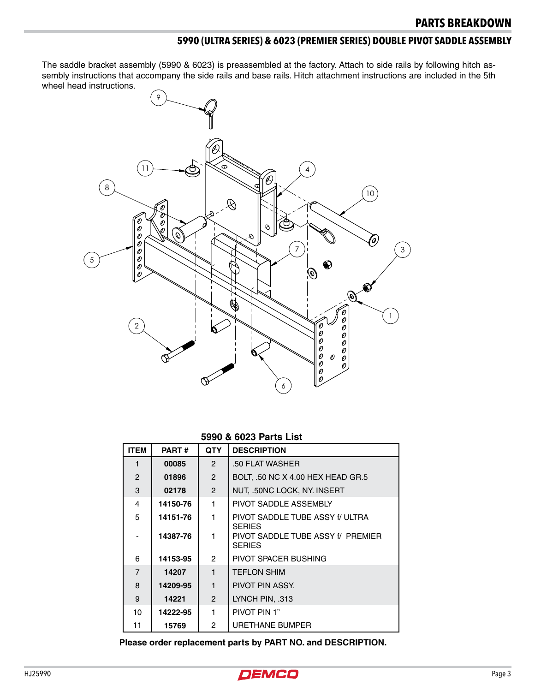## **5990 (ULTRA SERIES) & 6023 (PREMIER SERIES) DOUBLE PIVOT SADDLE ASSEMBLY**

The saddle bracket assembly (5990 & 6023) is preassembled at the factory. Attach to side rails by following hitch assembly instructions that accompany the side rails and base rails. Hitch attachment instructions are included in the 5th wheel head instructions.



#### **5990 & 6023 Parts List**

| <b>ITEM</b>              | <b>PART#</b> | <b>QTY</b>     | <b>DESCRIPTION</b>                                 |
|--------------------------|--------------|----------------|----------------------------------------------------|
|                          | 00085        | $\overline{2}$ | .50 FLAT WASHER                                    |
| $\overline{2}$           | 01896        | $\overline{2}$ | BOLT, .50 NC X 4.00 HEX HEAD GR.5                  |
| 3                        | 02178        | $\overline{2}$ | NUT, .50NC LOCK, NY. INSERT                        |
| 4                        | 14150-76     | $\mathbf{1}$   | PIVOT SADDLE ASSEMBLY                              |
| 5                        | 14151-76     | 1.             | PIVOT SADDLE TUBE ASSY f/ ULTRA<br><b>SERIES</b>   |
| $\overline{\phantom{0}}$ | 14387-76     | 1.             | PIVOT SADDLE TUBE ASSY f/ PREMIER<br><b>SERIES</b> |
| 6                        | 14153-95     | $\overline{2}$ | PIVOT SPACER BUSHING                               |
| $\overline{7}$           | 14207        | $\mathbf{1}$   | <b>TEFLON SHIM</b>                                 |
| 8                        | 14209-95     | $\mathbf{1}$   | PIVOT PIN ASSY.                                    |
| 9                        | 14221        | $\overline{2}$ | LYNCH PIN, .313                                    |
| 10                       | 14222-95     | 1              | PIVOT PIN 1"                                       |
| 11                       | 15769        | $\overline{2}$ | URETHANE BUMPER                                    |

**Please order replacement parts by PART NO. and DESCRIPTION.**